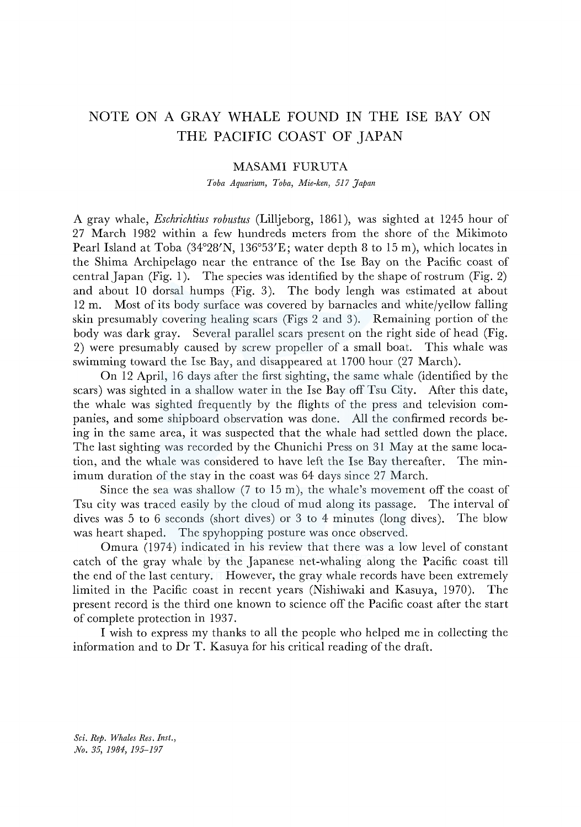## NOTE ON A GRAY WHALE FOUND IN THE ISE BAY ON THE PACIFIC COAST OF JAPAN

## MASAMI FURUTA

*Toba Aquarium, Toba, Mie-ken, 517 Japan* 

A gray whale, *Eschrichtius robustus* (Lilljeborg, 1861 ), was sighted at 1245 hour of 27 March 1982 within a few hundreds meters from the shore of the Mikimoto Pearl Island at Toba (34°28'N, 136°53'E; water depth 8 to 15 m), which locates in the Shima Archipelago near the entrance of the Ise Bay on the Pacific coast of central Japan (Fig. 1). The species was identified by the shape of rostrum (Fig. 2) and about 10 dorsal humps (Fig. 3). The body lengh was estimated at about 12 m. Most of its body surface was covered by barnacles and white/yellow falling skin presumably covering healing scars (Figs 2 and 3). Remaining portion of the body was dark gray. Several parallel scars present on the right side of head (Fig. 2) were presumably caused by screw propeller of a small boat. This whale was swimming toward the Ise Bay, and disappeared at 1700 hour (27 March).

On 12 April, 16 days after the first sighting, the same whale (identified by the scars) was sighted in a shallow water in the Ise Bay off Tsu City. After this date, the whale was sighted frequently by the flights of the press and television companies, and some shipboard observation was done. All the confirmed records being in the same area, it was suspected that the whale had settled down the place. The last sighting was recorded by the Chunichi Press on 31 May at the same location, and the whale was considered to have left the Ise Bay thereafter. The minimum duration of the stay in the coast was 64 days since 27 March.

Since the sea was shallow (7 to 15 m), the whale's movement off the coast of Tsu city was traced easily by the cloud of mud along its passage. The interval of dives was 5 to 6 seconds (short dives) or 3 to 4 minutes (long dives). The blow was heart shaped. The spyhopping posture was once observed.

Omura (1974) indicated in his review that there was a low level of constant catch of the gray whale by the Japanese net-whaling along the Pacific coast till the end of the last century. However, the gray whale records have been extremely limited in the Pacific coast in recent years (Nishiwaki and Kasuya, 1970). The present record is the third one known to science off the Pacific coast after the start of complete protection in 1937.

I wish to express my thanks to all the people who helped me in collecting the information and to Dr T. Kasuya for his critical reading of the draft.

*Sci. Rep. Whales Res. Inst., No. 35, 1984, 195-197*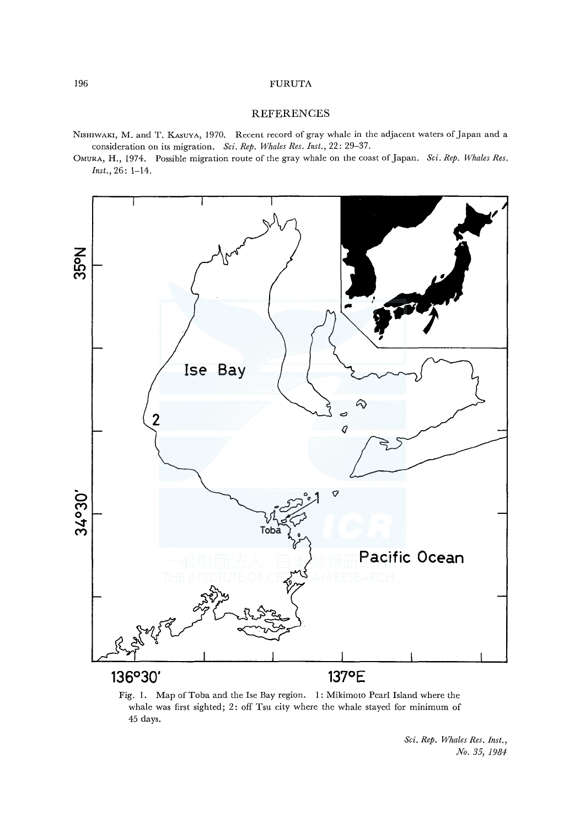## 196 FURUTA

## **REFERENCES**

NrsHIWAKI, M. and T. KAsuvA, 1970. Recent record of gray whale in the adjacent waters of Japan and a consideration on its migration. *Sci. Rep. Whales Res. Inst.,* 22: 29-37.

OMURA, H., 1974. Possible migration route of the gray whale on the coast of Japan. *Sci. Rep. Whales Res. Inst.,* 26: 1-14.



Fig. I. Map of Toba and the Ise Bay region. I: Mikimoto Pearl Island where the whale was first sighted; 2: off Tsu city where the whale stayed for minimum of 45 days.

*Sci. Rep. Whales Res. Inst., No. 35, 1984*